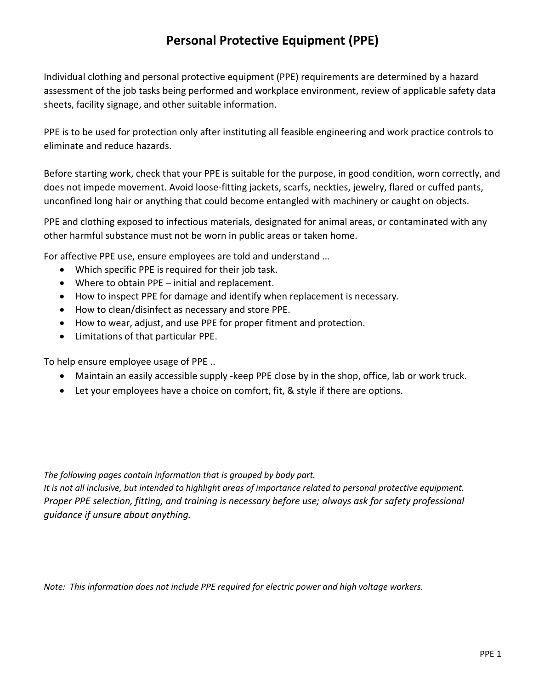# **Personal Protective Equipment (PPE)**

Individual clothing and personal protective equipment (PPE) requirements are determined by a hazard assessment of the job tasks being performed and workplace environment, review of applicable safety data sheets, facility signage, and other suitable information.

PPE is to be used for protection only after instituting all feasible engineering and work practice controls to eliminate and reduce hazards.

Before starting work, check that your PPE is suitable for the purpose, in good condition, worn correctly, and does not impede movement. Avoid loose-fitting jackets, scarfs, neckties, jewelry, flared or cuffed pants, unconfined long hair or anything that could become entangled with machinery or caught on objects.

PPE and clothing exposed to infectious materials, designated for animal areas, or contaminated with any other harmful substance must not be worn in public areas or taken home.

For affective PPE use, ensure employees are told and understand …

- Which specific PPE is required for their job task.
- Where to obtain PPE initial and replacement.
- How to inspect PPE for damage and identify when replacement is necessary.
- How to clean/disinfect as necessary and store PPE.
- How to wear, adjust, and use PPE for proper fitment and protection.
- Limitations of that particular PPE.

To help ensure employee usage of PPE ..

- Maintain an easily accessible supply -keep PPE close by in the shop, office, lab or work truck.
- Let your employees have a choice on comfort, fit, & style if there are options.

*The following pages contain information that is grouped by body part.*

*It is not all inclusive, but intended to highlight areas of importance related to personal protective equipment. Proper PPE selection, fitting, and training is necessary before use; always ask for safety professional guidance if unsure about anything.*

*Note: This information does not include PPE required for electric power and high voltage workers.*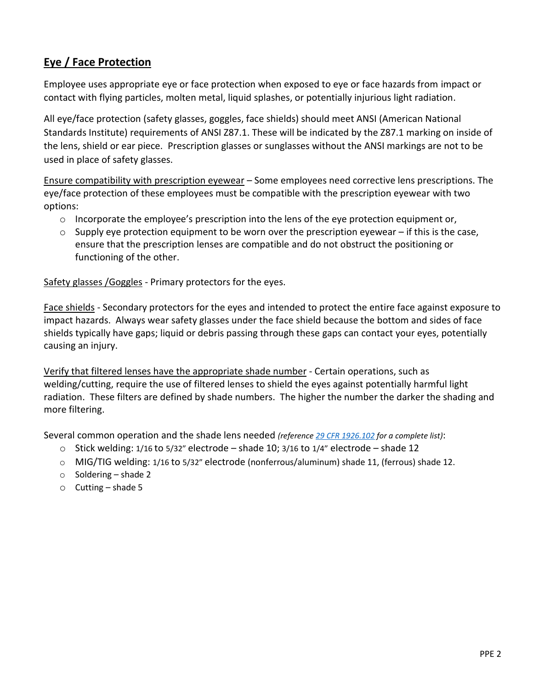## **Eye / Face Protection**

Employee uses appropriate eye or face protection when exposed to eye or face hazards from impact or contact with flying particles, molten metal, liquid splashes, or potentially injurious light radiation.

All eye/face protection (safety glasses, goggles, face shields) should meet ANSI (American National Standards Institute) requirements of ANSI Z87.1. These will be indicated by the Z87.1 marking on inside of the lens, shield or ear piece. Prescription glasses or sunglasses without the ANSI markings are not to be used in place of safety glasses.

Ensure compatibility with prescription eyewear – Some employees need corrective lens prescriptions. The eye/face protection of these employees must be compatible with the prescription eyewear with two options:

- $\circ$  Incorporate the employee's prescription into the lens of the eye protection equipment or,
- $\circ$  Supply eye protection equipment to be worn over the prescription eyewear if this is the case, ensure that the prescription lenses are compatible and do not obstruct the positioning or functioning of the other.

Safety glasses / Goggles - Primary protectors for the eyes.

Face shields - Secondary protectors for the eyes and intended to protect the entire face against exposure to impact hazards. Always wear safety glasses under the face shield because the bottom and sides of face shields typically have gaps; liquid or debris passing through these gaps can contact your eyes, potentially causing an injury.

Verify that filtered lenses have the appropriate shade number - Certain operations, such as welding/cutting, require the use of filtered lenses to shield the eyes against potentially harmful light radiation. These filters are defined by shade numbers. The higher the number the darker the shading and more filtering.

Several common operation and the shade lens needed *(referenc[e 29 CFR 1926.102](https://www.osha.gov/laws-regs/regulations/standardnumber/1926/1926.102) for a complete list)*:

- $\circ$  Stick welding: 1/16 to 5/32" electrode shade 10; 3/16 to 1/4" electrode shade 12
- o MIG/TIG welding: 1/16 to 5/32" electrode (nonferrous/aluminum) shade 11, (ferrous) shade 12.
- o Soldering shade 2
- $\circ$  Cutting shade 5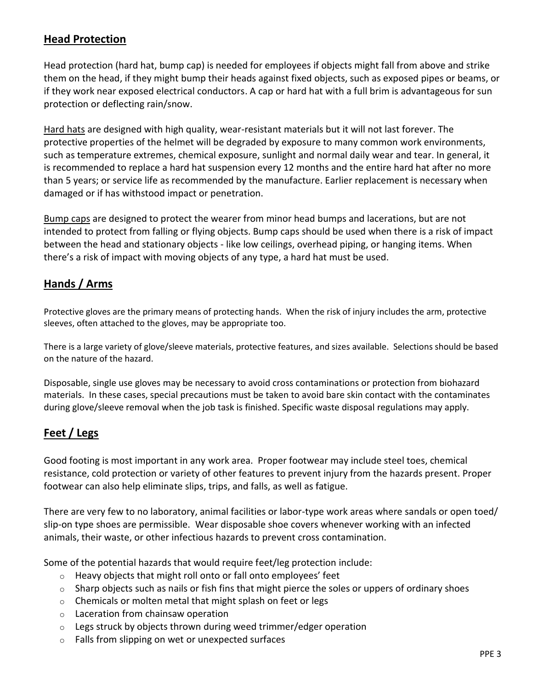#### **Head Protection**

Head protection (hard hat, bump cap) is needed for employees if objects might fall from above and strike them on the head, if they might bump their heads against fixed objects, such as exposed pipes or beams, or if they work near exposed electrical conductors. A cap or hard hat with a full brim is advantageous for sun protection or deflecting rain/snow.

Hard hats are designed with high quality, wear-resistant materials but it will not last forever. The protective properties of the helmet will be degraded by exposure to many common work environments, such as temperature extremes, chemical exposure, sunlight and normal daily wear and tear. In general, it is recommended to replace a hard hat suspension every 12 months and the entire hard hat after no more than 5 years; or service life as recommended by the manufacture. Earlier replacement is necessary when damaged or if has withstood impact or penetration.

Bump caps are designed to protect the wearer from minor head bumps and lacerations, but are not intended to protect from falling or flying objects. Bump caps should be used when there is a risk of impact between the head and stationary objects - like low ceilings, overhead piping, or hanging items. When there's a risk of impact with moving objects of any type, a hard hat must be used.

## **Hands / Arms**

Protective gloves are the primary means of protecting hands. When the risk of injury includes the arm, protective sleeves, often attached to the gloves, may be appropriate too.

There is a large variety of glove/sleeve materials, protective features, and sizes available. Selections should be based on the nature of the hazard.

Disposable, single use gloves may be necessary to avoid cross contaminations or protection from biohazard materials. In these cases, special precautions must be taken to avoid bare skin contact with the contaminates during glove/sleeve removal when the job task is finished. Specific waste disposal regulations may apply.

## **Feet / Legs**

Good footing is most important in any work area. Proper footwear may include steel toes, chemical resistance, cold protection or variety of other features to prevent injury from the hazards present. Proper footwear can also help eliminate slips, trips, and falls, as well as fatigue.

There are very few to no laboratory, animal facilities or labor-type work areas where sandals or open toed/ slip-on type shoes are permissible. Wear disposable shoe covers whenever working with an infected animals, their waste, or other infectious hazards to prevent cross contamination.

Some of the potential hazards that would require feet/leg protection include:

- o Heavy objects that might roll onto or fall onto employees' feet
- $\circ$  Sharp objects such as nails or fish fins that might pierce the soles or uppers of ordinary shoes
- o Chemicals or molten metal that might splash on feet or legs
- o Laceration from chainsaw operation
- $\circ$  Legs struck by objects thrown during weed trimmer/edger operation
- o Falls from slipping on wet or unexpected surfaces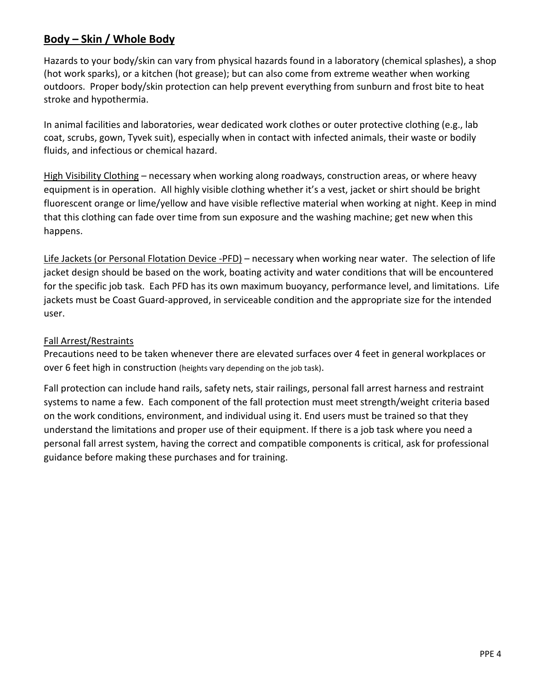#### **Body – Skin / Whole Body**

Hazards to your body/skin can vary from physical hazards found in a laboratory (chemical splashes), a shop (hot work sparks), or a kitchen (hot grease); but can also come from extreme weather when working outdoors. Proper body/skin protection can help prevent everything from sunburn and frost bite to heat stroke and hypothermia.

In animal facilities and laboratories, wear dedicated work clothes or outer protective clothing (e.g., lab coat, scrubs, gown, Tyvek suit), especially when in contact with infected animals, their waste or bodily fluids, and infectious or chemical hazard.

High Visibility Clothing – necessary when working along roadways, construction areas, or where heavy equipment is in operation. All highly visible clothing whether it's a vest, jacket or shirt should be bright fluorescent orange or lime/yellow and have visible reflective material when working at night. Keep in mind that this clothing can fade over time from sun exposure and the washing machine; get new when this happens.

Life Jackets (or Personal Flotation Device -PFD) – necessary when working near water. The selection of life jacket design should be based on the work, boating activity and water conditions that will be encountered for the specific job task. Each PFD has its own maximum buoyancy, performance level, and limitations. Life jackets must be Coast Guard-approved, in serviceable condition and the appropriate size for the intended user.

#### Fall Arrest/Restraints

Precautions need to be taken whenever there are elevated surfaces over 4 feet in general workplaces or over 6 feet high in construction (heights vary depending on the job task).

Fall protection can include hand rails, safety nets, stair railings, personal fall arrest harness and restraint systems to name a few. Each component of the fall protection must meet strength/weight criteria based on the work conditions, environment, and individual using it. End users must be trained so that they understand the limitations and proper use of their equipment. If there is a job task where you need a personal fall arrest system, having the correct and compatible components is critical, ask for professional guidance before making these purchases and for training.